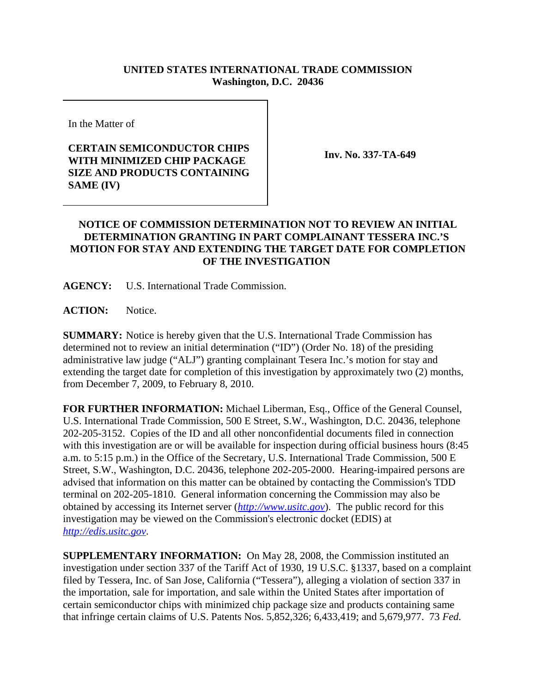## **UNITED STATES INTERNATIONAL TRADE COMMISSION Washington, D.C. 20436**

In the Matter of

## **CERTAIN SEMICONDUCTOR CHIPS WITH MINIMIZED CHIP PACKAGE SIZE AND PRODUCTS CONTAINING SAME (IV)**

**Inv. No. 337-TA-649**

## **NOTICE OF COMMISSION DETERMINATION NOT TO REVIEW AN INITIAL DETERMINATION GRANTING IN PART COMPLAINANT TESSERA INC.'S MOTION FOR STAY AND EXTENDING THE TARGET DATE FOR COMPLETION OF THE INVESTIGATION**

**AGENCY:** U.S. International Trade Commission.

ACTION: Notice.

**SUMMARY:** Notice is hereby given that the U.S. International Trade Commission has determined not to review an initial determination ("ID") (Order No. 18) of the presiding administrative law judge ("ALJ") granting complainant Tesera Inc.'s motion for stay and extending the target date for completion of this investigation by approximately two (2) months, from December 7, 2009, to February 8, 2010.

**FOR FURTHER INFORMATION:** Michael Liberman, Esq., Office of the General Counsel, U.S. International Trade Commission, 500 E Street, S.W., Washington, D.C. 20436, telephone 202-205-3152. Copies of the ID and all other nonconfidential documents filed in connection with this investigation are or will be available for inspection during official business hours (8:45) a.m. to 5:15 p.m.) in the Office of the Secretary, U.S. International Trade Commission, 500 E Street, S.W., Washington, D.C. 20436, telephone 202-205-2000. Hearing-impaired persons are advised that information on this matter can be obtained by contacting the Commission's TDD terminal on 202-205-1810. General information concerning the Commission may also be obtained by accessing its Internet server (*http://www.usitc.gov*). The public record for this investigation may be viewed on the Commission's electronic docket (EDIS) at *http://edis.usitc.gov*.

**SUPPLEMENTARY INFORMATION:** On May 28, 2008, the Commission instituted an investigation under section 337 of the Tariff Act of 1930, 19 U.S.C. §1337, based on a complaint filed by Tessera, Inc. of San Jose, California ("Tessera"), alleging a violation of section 337 in the importation, sale for importation, and sale within the United States after importation of certain semiconductor chips with minimized chip package size and products containing same that infringe certain claims of U.S. Patents Nos. 5,852,326; 6,433,419; and 5,679,977. 73 *Fed.*